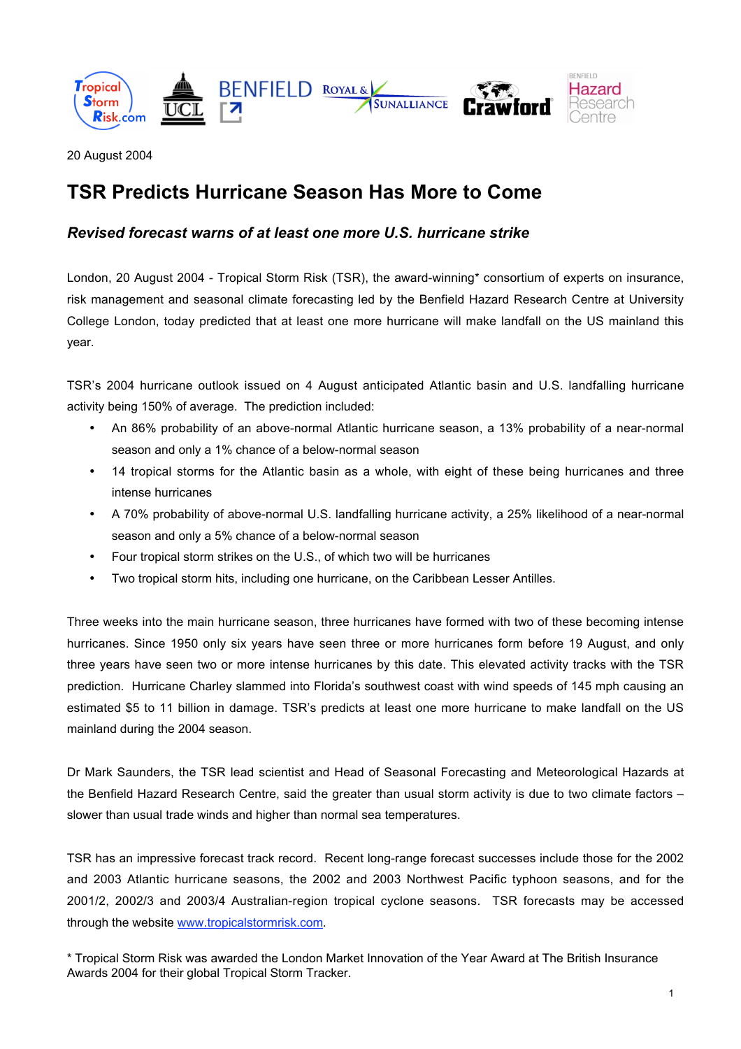



20 August 2004

# **TSR Predicts Hurricane Season Has More to Come**

# *Revised forecast warns of at least one more U.S. hurricane strike*

London, 20 August 2004 - Tropical Storm Risk (TSR), the award-winning\* consortium of experts on insurance, risk management and seasonal climate forecasting led by the Benfield Hazard Research Centre at University College London, today predicted that at least one more hurricane will make landfall on the US mainland this year.

TSR's 2004 hurricane outlook issued on 4 August anticipated Atlantic basin and U.S. landfalling hurricane activity being 150% of average. The prediction included:

An 86% probability of an above-normal Atlantic hurricane season, a 13% probability of a near-normal season and only a 1% chance of a below-normal season

14 tropical storms for the Atlantic basin as a whole, with eight of these being hurricanes and three intense hurricanes

A 70% probability of above-normal U.S. landfalling hurricane activity, a 25% likelihood of a near-normal season and only a 5% chance of a below-normal season

Four tropical storm strikes on the U.S., of which two will be hurricanes

Two tropical storm hits, including one hurricane, on the Caribbean Lesser Antilles.

Three weeks into the main hurricane season, three hurricanes have formed with two of these becoming intense hurricanes. Since 1950 only six years have seen three or more hurricanes form before 19 August, and only three years have seen two or more intense hurricanes by this date. This elevated activity tracks with the TSR prediction. Hurricane Charley slammed into Florida's southwest coast with wind speeds of 145 mph causing an estimated \$5 to 11 billion in damage. TSR's predicts at least one more hurricane to make landfall on the US mainland during the 2004 season.

Dr Mark Saunders, the TSR lead scientist and Head of Seasonal Forecasting and Meteorological Hazards at the Benfield Hazard Research Centre, said the greater than usual storm activity is due to two climate factors – slower than usual trade winds and higher than normal sea temperatures.

TSR has an impressive forecast track record. Recent long-range forecast successes include those for the 2002 and 2003 Atlantic hurricane seasons, the 2002 and 2003 Northwest Pacific typhoon seasons, and for the 2001/2, 2002/3 and 2003/4 Australian-region tropical cyclone seasons. TSR forecasts may be accessed through the website www.tropicalstormrisk.com.

\* Tropical Storm Risk was awarded the London Market Innovation of the Year Award at The British Insurance Awards 2004 for their global Tropical Storm Tracker.